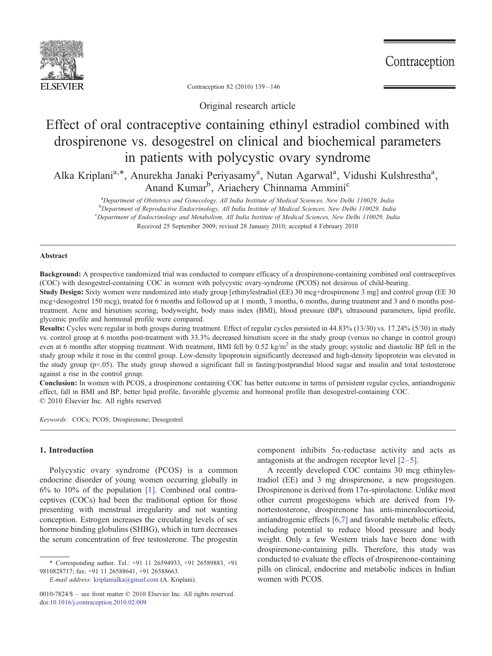

Contraception

Contraception 82 (2010) 139–146

Original research article

# Effect of oral contraceptive containing ethinyl estradiol combined with drospirenone vs. desogestrel on clinical and biochemical parameters in patients with polycystic ovary syndrome

Alka Kriplani<sup>a,\*</sup>, Anurekha Janaki Periyasamy<sup>a</sup>, Nutan Agarwal<sup>a</sup>, Vidushi Kulshrestha<sup>a</sup>, Anand Kumar<sup>b</sup>, Ariachery Chinnama Ammini<sup>c</sup>

<sup>a</sup>Department of Obstetrics and Gynecology, All India Institute of Medical Sciences, New Delhi 110029, India <sup>b</sup>Department of Reproductive Endocrinology, All India Institute of Medical Sciences, New Delhi 110029, India<br>CDepartment of Endocrinology and Metabolism, All India Institute of Medical Sciences, New Delhi 110029, India <sup>c</sup>Department of Endocrinology and Metabolism, All India Institute of Medical Sciences, New Delhi 110029, India Received 25 September 2009; revised 28 January 2010; accepted 4 February 2010

# Abstract

Background: A prospective randomized trial was conducted to compare efficacy of a drospirenone-containing combined oral contraceptives (COC) with desogestrel-containing COC in women with polycystic ovary-syndrome (PCOS) not desirous of child-bearing.

Study Design: Sixty women were randomized into study group [ethinylestradiol (EE) 30 mcg+drospirenone 3 mg] and control group (EE 30 mcg+desogestrel 150 mcg), treated for 6 months and followed up at 1 month, 3 months, 6 months, during treatment and 3 and 6 months posttreatment. Acne and hirsutism scoring, bodyweight, body mass index (BMI), blood pressure (BP), ultrasound parameters, lipid profile, glycemic profile and hormonal profile were compared.

Results: Cycles were regular in both groups during treatment. Effect of regular cycles persisted in 44.83% (13/30) vs. 17.24% (5/30) in study vs. control group at 6 months post-treatment with 33.3% decreased hirsutism score in the study group (versus no change in control group) even at 6 months after stopping treatment. With treatment, BMI fell by  $0.52 \text{ kg/m}^2$  in the study group; systolic and diastolic BP fell in the study group while it rose in the control group. Low-density lipoprotein significantly decreased and high-density lipoprotein was elevated in the study group ( $p$ <.05). The study group showed a significant fall in fasting/postprandial blood sugar and insulin and total testosterone against a rise in the control group.

Conclusion: In women with PCOS, a drospirenone containing COC has better outcome in terms of persistent regular cycles, antiandrogenic effect, fall in BMI and BP, better lipid profile, favorable glycemic and hormonal profile than desogestrel-containing COC. © 2010 Elsevier Inc. All rights reserved.

Keywords: COCs; PCOS; Drospirenone; Desogestrel

## 1. Introduction

Polycystic ovary syndrome (PCOS) is a common endocrine disorder of young women occurring globally in 6% to 10% of the population [\[1\].](#page-7-0) Combined oral contraceptives (COCs) had been the traditional option for those presenting with menstrual irregularity and not wanting conception. Estrogen increases the circulating levels of sex hormone binding globulins (SHBG), which in turn decreases the serum concentration of free testosterone. The progestin

E-mail address: [kriplanialka@gmail.com](mailto:kriplanialka@gmail.com) (A. Kriplani).

component inhibits 5α-reductase activity and acts as antagonists at the androgen receptor level [2–[5\]](#page-7-0).

A recently developed COC contains 30 mcg ethinylestradiol (EE) and 3 mg drospirenone, a new progestogen. Drospirenone is derived from  $17\alpha$ -spirolactone. Unlike most other current progestogens which are derived from 19 nortestosterone, drospirenone has anti-mineralocorticoid, antiandrogenic effects [\[6,7\]](#page-7-0) and favorable metabolic effects, including potential to reduce blood pressure and body weight. Only a few Western trials have been done with drospirenone-containing pills. Therefore, this study was conducted to evaluate the effects of drospirenone-containing pills on clinical, endocrine and metabolic indices in Indian women with PCOS.

<sup>⁎</sup> Corresponding author. Tel.: +91 11 26594933, +91 26589883, +91 9810828717; fax: +91 11 26588641, +91 26588663.

<sup>0010-7824/\$</sup> – see front matter © 2010 Elsevier Inc. All rights reserved. doi[:10.1016/j.contraception.2010.02.009](http://dx.doi.org/10.1016/j.contraception.2010.02.009)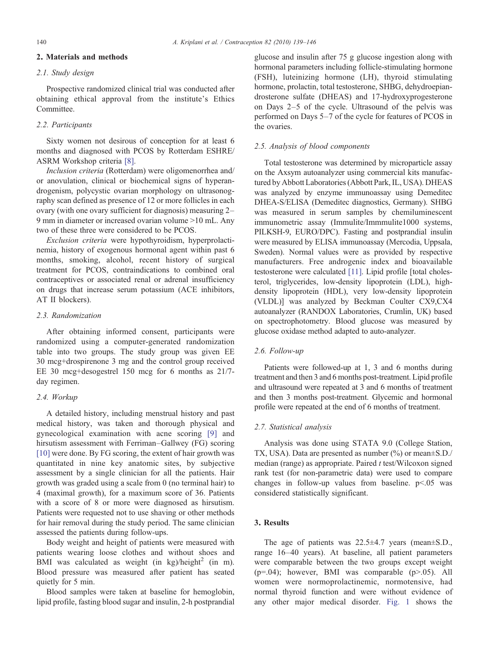## 2. Materials and methods

# 2.1. Study design

Prospective randomized clinical trial was conducted after obtaining ethical approval from the institute's Ethics Committee.

# 2.2. Participants

Sixty women not desirous of conception for at least 6 months and diagnosed with PCOS by Rotterdam ESHRE/ ASRM Workshop criteria [\[8\].](#page-7-0)

Inclusion criteria (Rotterdam) were oligomenorrhea and/ or anovulation, clinical or biochemical signs of hyperandrogenism, polycystic ovarian morphology on ultrasonography scan defined as presence of 12 or more follicles in each ovary (with one ovary sufficient for diagnosis) measuring 2– 9 mm in diameter or increased ovarian volume  $>10$  mL. Any two of these three were considered to be PCOS.

Exclusion criteria were hypothyroidism, hyperprolactinemia, history of exogenous hormonal agent within past 6 months, smoking, alcohol, recent history of surgical treatment for PCOS, contraindications to combined oral contraceptives or associated renal or adrenal insufficiency on drugs that increase serum potassium (ACE inhibitors, AT II blockers).

# 2.3. Randomization

After obtaining informed consent, participants were randomized using a computer-generated randomization table into two groups. The study group was given EE 30 mcg+drospirenone 3 mg and the control group received EE 30 mcg+desogestrel 150 mcg for 6 months as 21/7 day regimen.

# 2.4. Workup

A detailed history, including menstrual history and past medical history, was taken and thorough physical and gynecological examination with acne scoring [\[9\]](#page-7-0) and hirsutism assessment with Ferriman–Gallwey (FG) scoring [\[10\]](#page-7-0) were done. By FG scoring, the extent of hair growth was quantitated in nine key anatomic sites, by subjective assessment by a single clinician for all the patients. Hair growth was graded using a scale from 0 (no terminal hair) to 4 (maximal growth), for a maximum score of 36. Patients with a score of 8 or more were diagnosed as hirsutism. Patients were requested not to use shaving or other methods for hair removal during the study period. The same clinician assessed the patients during follow-ups.

Body weight and height of patients were measured with patients wearing loose clothes and without shoes and BMI was calculated as weight (in kg)/height<sup>2</sup> (in m). Blood pressure was measured after patient has seated quietly for 5 min.

Blood samples were taken at baseline for hemoglobin, lipid profile, fasting blood sugar and insulin, 2-h postprandial glucose and insulin after 75 g glucose ingestion along with hormonal parameters including follicle-stimulating hormone (FSH), luteinizing hormone (LH), thyroid stimulating hormone, prolactin, total testosterone, SHBG, dehydroepiandrosterone sulfate (DHEAS) and 17-hydroxyprogesterone on Days 2–5 of the cycle. Ultrasound of the pelvis was performed on Days 5–7 of the cycle for features of PCOS in the ovaries.

### 2.5. Analysis of blood components

Total testosterone was determined by microparticle assay on the Axsym autoanalyzer using commercial kits manufactured by Abbott Laboratories (Abbott Park, IL, USA). DHEAS was analyzed by enzyme immunoassay using Demeditec DHEA-S/ELISA (Demeditec diagnostics, Germany). SHBG was measured in serum samples by chemiluminescent immunometric assay (Immulite/Immmulite1000 systems, PILKSH-9, EURO/DPC). Fasting and postprandial insulin were measured by ELISA immunoassay (Mercodia, Uppsala, Sweden). Normal values were as provided by respective manufacturers. Free androgenic index and bioavailable testosterone were calculated [\[11\].](#page-7-0) Lipid profile [total cholesterol, triglycerides, low-density lipoprotein (LDL), highdensity lipoprotein (HDL), very low-density lipoprotein (VLDL)] was analyzed by Beckman Coulter CX9,CX4 autoanalyzer (RANDOX Laboratories, Crumlin, UK) based on spectrophotometry. Blood glucose was measured by glucose oxidase method adapted to auto-analyzer.

### 2.6. Follow-up

Patients were followed-up at 1, 3 and 6 months during treatment and then 3 and 6 months post-treatment. Lipid profile and ultrasound were repeated at 3 and 6 months of treatment and then 3 months post-treatment. Glycemic and hormonal profile were repeated at the end of 6 months of treatment.

### 2.7. Statistical analysis

Analysis was done using STATA 9.0 (College Station, TX, USA). Data are presented as number (%) or mean±S.D./ median (range) as appropriate. Paired t test/Wilcoxon signed rank test (for non-parametric data) were used to compare changes in follow-up values from baseline.  $p<0.05$  was considered statistically significant.

# 3. Results

The age of patients was  $22.5 \pm 4.7$  years (mean $\pm$ S.D., range 16–40 years). At baseline, all patient parameters were comparable between the two groups except weight ( $p=.04$ ); however, BMI was comparable ( $p>.05$ ). All women were normoprolactinemic, normotensive, had normal thyroid function and were without evidence of any other major medical disorder. [Fig. 1](#page-2-0) shows the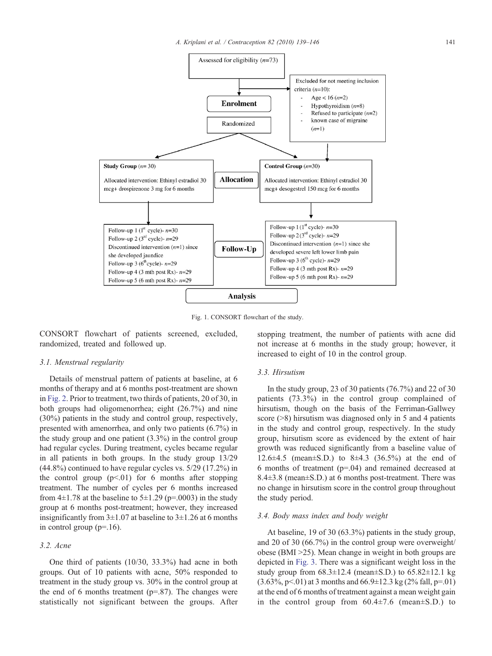<span id="page-2-0"></span>

Fig. 1. CONSORT flowchart of the study.

CONSORT flowchart of patients screened, excluded, randomized, treated and followed up.

### 3.1. Menstrual regularity

Details of menstrual pattern of patients at baseline, at 6 months of therapy and at 6 months post-treatment are shown in [Fig. 2.](#page-3-0) Prior to treatment, two thirds of patients, 20 of 30, in both groups had oligomenorrhea; eight (26.7%) and nine (30%) patients in the study and control group, respectively, presented with amenorrhea, and only two patients (6.7%) in the study group and one patient (3.3%) in the control group had regular cycles. During treatment, cycles became regular in all patients in both groups. In the study group 13/29 (44.8%) continued to have regular cycles vs. 5/29 (17.2%) in the control group  $(p<.01)$  for 6 months after stopping treatment. The number of cycles per 6 months increased from  $4\pm1.78$  at the baseline to  $5\pm1.29$  (p=.0003) in the study group at 6 months post-treatment; however, they increased insignificantly from  $3\pm1.07$  at baseline to  $3\pm1.26$  at 6 months in control group  $(p=16)$ .

# 3.2. Acne

One third of patients (10/30, 33.3%) had acne in both groups. Out of 10 patients with acne, 50% responded to treatment in the study group vs. 30% in the control group at the end of 6 months treatment ( $p=0.87$ ). The changes were statistically not significant between the groups. After stopping treatment, the number of patients with acne did not increase at 6 months in the study group; however, it increased to eight of 10 in the control group.

### 3.3. Hirsutism

In the study group, 23 of 30 patients  $(76.7%)$  and 22 of 30 patients (73.3%) in the control group complained of hirsutism, though on the basis of the Ferriman-Gallwey score  $($ >8) hirsutism was diagnosed only in 5 and 4 patients in the study and control group, respectively. In the study group, hirsutism score as evidenced by the extent of hair growth was reduced significantly from a baseline value of 12.6 $\pm$ 4.5 (mean $\pm$ S.D.) to 8 $\pm$ 4.3 (36.5%) at the end of 6 months of treatment (p=.04) and remained decreased at 8.4±3.8 (mean±S.D.) at 6 months post-treatment. There was no change in hirsutism score in the control group throughout the study period.

### 3.4. Body mass index and body weight

At baseline, 19 of 30 (63.3%) patients in the study group, and 20 of 30 (66.7%) in the control group were overweight/ obese (BMI  $>25$ ). Mean change in weight in both groups are depicted in [Fig. 3](#page-3-0). There was a significant weight loss in the study group from  $68.3 \pm 12.4$  (mean $\pm$ S.D.) to  $65.82 \pm 12.1$  kg  $(3.63\%, p<.01)$  at 3 months and  $66.9\pm12.3$  kg (2% fall, p=.01) at the end of 6 months of treatment against a mean weight gain in the control group from  $60.4\pm7.6$  (mean $\pm$ S.D.) to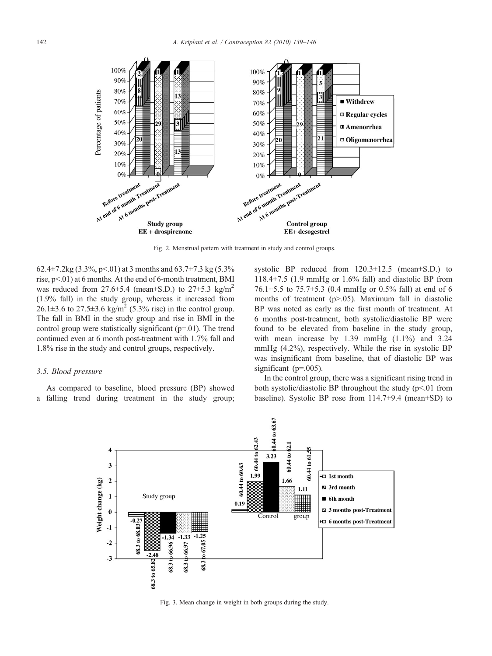<span id="page-3-0"></span>

Fig. 2. Menstrual pattern with treatment in study and control groups.

62.4±7.2kg (3.3%, p < 0.01) at 3 months and 63.7±7.3 kg (5.3% rise,  $p<01$ ) at 6 months. At the end of 6-month treatment, BMI was reduced from  $27.6\pm5.4$  (mean $\pm$ S.D.) to  $27\pm5.3$  kg/m<sup>2</sup> (1.9% fall) in the study group, whereas it increased from 26.1 $\pm$ 3.6 to 27.5 $\pm$ 3.6 kg/m<sup>2</sup> (5.3% rise) in the control group. The fall in BMI in the study group and rise in BMI in the control group were statistically significant (p=.01). The trend continued even at 6 month post-treatment with 1.7% fall and 1.8% rise in the study and control groups, respectively.

# 3.5. Blood pressure

As compared to baseline, blood pressure (BP) showed a falling trend during treatment in the study group;

systolic BP reduced from 120.3±12.5 (mean±S.D.) to 118.4 $\pm$ 7.5 (1.9 mmHg or 1.6% fall) and diastolic BP from 76.1 $\pm$ 5.5 to 75.7 $\pm$ 5.3 (0.4 mmHg or 0.5% fall) at end of 6 months of treatment ( $p>0.05$ ). Maximum fall in diastolic BP was noted as early as the first month of treatment. At 6 months post-treatment, both systolic/diastolic BP were found to be elevated from baseline in the study group, with mean increase by  $1.39 \text{ mmHg}$   $(1.1\%)$  and  $3.24$ mmHg (4.2%), respectively. While the rise in systolic BP was insignificant from baseline, that of diastolic BP was significant (p=.005).

In the control group, there was a significant rising trend in both systolic/diastolic BP throughout the study  $(p<0.01$  from baseline). Systolic BP rose from  $114.7\pm9.4$  (mean $\pm$ SD) to



Fig. 3. Mean change in weight in both groups during the study.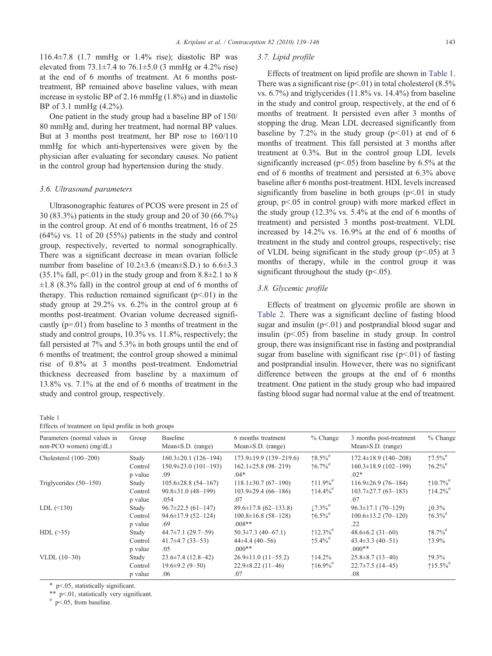116.4±7.8 (1.7 mmHg or 1.4% rise); diastolic BP was elevated from  $73.1\pm7.4$  to  $76.1\pm5.0$  (3 mmHg or 4.2% rise) at the end of 6 months of treatment. At 6 months posttreatment, BP remained above baseline values, with mean increase in systolic BP of 2.16 mmHg (1.8%) and in diastolic BP of 3.1 mmHg (4.2%).

One patient in the study group had a baseline BP of 150/ 80 mmHg and, during her treatment, had normal BP values. But at 3 months post treatment, her BP rose to 160/110 mmHg for which anti-hypertensives were given by the physician after evaluating for secondary causes. No patient in the control group had hypertension during the study.

### 3.6. Ultrasound parameters

Ultrasonographic features of PCOS were present in 25 of 30 (83.3%) patients in the study group and 20 of 30 (66.7%) in the control group. At end of 6 months treatment, 16 of 25  $(64%)$  vs. 11 of 20  $(55%)$  patients in the study and control group, respectively, reverted to normal sonographically. There was a significant decrease in mean ovarian follicle number from baseline of  $10.2\pm3.6$  (mean $\pm$ S.D.) to  $6.6\pm3.3$  $(35.1\%$  fall, p $\leq$ 01) in the study group and from 8.8 $\pm$ 2.1 to 8  $\pm 1.8$  (8.3% fall) in the control group at end of 6 months of therapy. This reduction remained significant  $(p<0.01)$  in the study group at 29.2% vs. 6.2% in the control group at 6 months post-treatment. Ovarian volume decreased significantly (p=.01) from baseline to 3 months of treatment in the study and control groups, 10.3% vs. 11.8%, respectively; the fall persisted at 7% and 5.3% in both groups until the end of 6 months of treatment; the control group showed a minimal rise of 0.8% at 3 months post-treatment. Endometrial thickness decreased from baseline by a maximum of 13.8% vs. 7.1% at the end of 6 months of treatment in the study and control group, respectively.

Table 1

Effects of treatment on lipid profile in both groups

### 3.7. Lipid profile

Effects of treatment on lipid profile are shown in Table 1. There was a significant rise ( $p<01$ ) in total cholesterol (8.5%) vs. 6.7%) and triglycerides (11.8% vs. 14.4%) from baseline in the study and control group, respectively, at the end of 6 months of treatment. It persisted even after 3 months of stopping the drug. Mean LDL decreased significantly from baseline by 7.2% in the study group  $(p<0.01)$  at end of 6 months of treatment. This fall persisted at 3 months after treatment at 0.3%. But in the control group LDL levels significantly increased ( $p<0.05$ ) from baseline by 6.5% at the end of 6 months of treatment and persisted at 6.3% above baseline after 6 months post-treatment. HDL levels increased significantly from baseline in both groups  $(p<01$  in study group,  $p<05$  in control group) with more marked effect in the study group (12.3% vs. 5.4% at the end of 6 months of treatment) and persisted 3 months post-treatment. VLDL increased by 14.2% vs. 16.9% at the end of 6 months of treatment in the study and control groups, respectively; rise of VLDL being significant in the study group ( $p<.05$ ) at 3 months of therapy, while in the control group it was significant throughout the study ( $p<05$ ).

### 3.8. Glycemic profile

Effects of treatment on glycemic profile are shown in [Table 2.](#page-5-0) There was a significant decline of fasting blood sugar and insulin ( $p<.01$ ) and postprandial blood sugar and insulin  $(p<0.05)$  from baseline in study group. In control group, there was insignificant rise in fasting and postprandial sugar from baseline with significant rise  $(p<01)$  of fasting and postprandial insulin. However, there was no significant difference between the groups at the end of 6 months treatment. One patient in the study group who had impaired fasting blood sugar had normal value at the end of treatment.

| Parameters (normal values in<br>$non-PCO$ women) $(mg/dL)$ | Group                                  | Baseline<br>Mean $\pm$ S.D. (range)                          | 6 months treatment<br>Mean $\pm$ S.D. (range)                       | $%$ Change                        | 3 months post-treatment<br>Mean $\pm$ S.D. (range)           | $%$ Change                            |
|------------------------------------------------------------|----------------------------------------|--------------------------------------------------------------|---------------------------------------------------------------------|-----------------------------------|--------------------------------------------------------------|---------------------------------------|
| Cholesterol $(100-200)$                                    | Study                                  | $160.3 \pm 20.1$ (126-194)                                   | $173.9 \pm 19.9$ (139-219.6)                                        | $\uparrow 8.5\%$                  | $172.4 \pm 18.9$ (140-208)                                   | $17.5\%$                              |
|                                                            | Control<br>p value                     | $150.9 \pm 23.0$ (101-193)<br>.09                            | $162.1\pm25.8$ (98-219)<br>$.04*$                                   | $16.7\%$ <sup>#</sup>             | $160.3 \pm 18.9$ (102-199)<br>$.02*$                         | $\uparrow 6.2\%$ <sup>#</sup>         |
| Triglycerides $(50-150)$                                   | Study                                  | $105.6 \pm 28.8$ (54-167)                                    | $118.1\pm30.7(67-190)$                                              | $11.9\%$ <sup>#</sup>             | $116.9\pm 26.9$ (76-184)                                     | $\uparrow$ 10.7% <sup>#</sup>         |
|                                                            | Control<br>p value                     | $90.8 \pm 31.0$ (48-199)<br>.054                             | $103.9\pm 29.4(66-186)$<br>.07                                      | $14.4\%$                          | $103.7 \pm 27.7$ (63-183)<br>.07                             | $14.2\%$                              |
| LDL (<130)                                                 | Study<br>Control                       | $96.7 \pm 22.5(61 - 147)$<br>$94.6 \pm 17.9$ (52-124)<br>.69 | $89.6 \pm 17.8$ (62-133.8)<br>$100.8 \pm 16.8$ (58-128)<br>$.008**$ | $17.3\%$ <sup>#</sup><br>$16.5\%$ | $96.3 \pm 17.1$ (70-129)<br>$100.6 \pm 13.2$ (70-120)<br>.22 | $\downarrow$ 0.3%<br>$\uparrow 6.3\%$ |
| $HDL$ ( $>35$ )                                            | p value<br>Study<br>Control<br>p value | $44.7\pm7.1$ (29.7-59)<br>$41.7\pm4.7(33-53)$<br>.05         | $50.3 \pm 7.3$ (40-67.1)<br>$44\pm4.4(40-56)$<br>$.000**$           | $12.3\%$<br>$15.4\%$              | $48.6 \pm 6.2$ (31-60)<br>$43.4\pm3.3(40-51)$<br>$.000**$    | $18.7\%$<br>$13.9\%$                  |
| $VLDL(10-30)$                                              | Study<br>Control<br>p value            | $23.6 \pm 7.4$ (12.8–42)<br>$19.6 \pm 9.2$ (9-50)<br>.06     | $26.9 \pm 11.0$ (11-55.2)<br>$22.9 \pm 8.22$ (11-46)<br>.07         | 14.2%<br>$116.9\%$                | $25.8 \pm 8.7(13 - 40)$<br>$22.7 \pm 7.5$ (14-45)<br>.08     | $19.3\%$<br>↑15.5% <sup>#</sup>       |

⁎ pb.05, statistically significant.

 $*$  p<.01, statistically very significant.

 $#$  p<.05, from baseline.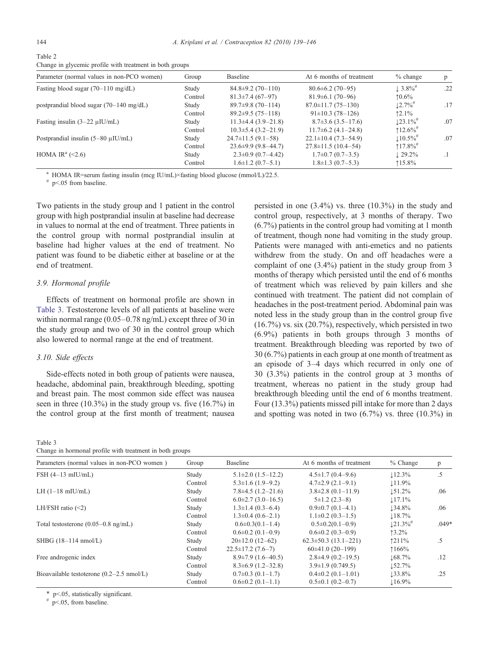<span id="page-5-0"></span>Table 2

Change in glycemic profile with treatment in both groups

| Parameter (normal values in non-PCO women)        | Group   | Baseline                  | At 6 months of treatment   | $%$ change             | p   |
|---------------------------------------------------|---------|---------------------------|----------------------------|------------------------|-----|
| Fasting blood sugar $(70-110 \text{ mg/dL})$      | Study   | $84.8 \pm 9.2$ (70-110)   | $80.6 \pm 6.2$ (70-95)     | $\perp 3.8\%$          | .22 |
|                                                   | Control | $81.3\pm7.4(67-97)$       | $81.9\pm 6.1(70-96)$       | $10.6\%$               |     |
| postprandial blood sugar $(70-140 \text{ mg/dL})$ | Study   | $89.7\pm9.8(70-114)$      | $87.0 \pm 11.7(75 - 130)$  | $12.7\%$ <sup>#</sup>  | .17 |
|                                                   | Control | $89.2 \pm 9.5(75 - 118)$  | $91 \pm 10.3$ (78-126)     | $12.1\%$               |     |
| Fasting insulin $(3-22 \mu I U/mL)$               | Study   | $11.3\pm4.4(3.9-21.8)$    | $8.7\pm3.6(3.5-17.6)$      | $123.1\%$ <sup>#</sup> | .07 |
|                                                   | Control | $10.3 \pm 5.4$ (3.2-21.9) | $11.7\pm 6.2$ (4.1-24.8)   | $12.6\%$               |     |
| Postprandial insulin $(5-80 \mu I U/mL)$          | Study   | $24.7 \pm 11.5(9.1 - 58)$ | $22.1 \pm 10.4$ (7.3-54.9) | $10.5\%$ <sup>#</sup>  | .07 |
|                                                   | Control | $23.6 \pm 9.9$ (9.8–44.7) | $27.8 \pm 11.5$ (10.4-54)  | $117.8\%$ <sup>#</sup> |     |
| HOMA IR <sup>a</sup> $(\leq 2.6)$                 | Study   | $2.3 \pm 0.9$ (0.7–4.42)  | $1.7\pm0.7(0.7-3.5)$       | $\perp$ 29.2%          |     |
|                                                   | Control | $1.6 \pm 1.2$ (0.7-5.1)   | $1.8 \pm 1.3$ (0.7-5.3)    | $115.8\%$              |     |

<sup>a</sup> HOMA IR=serum fasting insulin (mcg IU/mL)×fasting blood glucose (mmol/L)/22.5.  $\#$  p<.05 from baseline.

Two patients in the study group and 1 patient in the control group with high postprandial insulin at baseline had decrease in values to normal at the end of treatment. Three patients in the control group with normal postprandial insulin at baseline had higher values at the end of treatment. No patient was found to be diabetic either at baseline or at the end of treatment.

### 3.9. Hormonal profile

Effects of treatment on hormonal profile are shown in Table 3. Testosterone levels of all patients at baseline were within normal range (0.05–0.78 ng/mL) except three of 30 in the study group and two of 30 in the control group which also lowered to normal range at the end of treatment.

### 3.10. Side effects

Side-effects noted in both group of patients were nausea, headache, abdominal pain, breakthrough bleeding, spotting and breast pain. The most common side effect was nausea seen in three  $(10.3\%)$  in the study group vs. five  $(16.7\%)$  in the control group at the first month of treatment; nausea

| v.<br>۰,<br>٧ |  |
|---------------|--|
|---------------|--|

| Change in hormonal profile with treatment in both groups |  |  |  |  |
|----------------------------------------------------------|--|--|--|--|
|                                                          |  |  |  |  |

persisted in one (3.4%) vs. three (10.3%) in the study and control group, respectively, at 3 months of therapy. Two (6.7%) patients in the control group had vomiting at 1 month of treatment, though none had vomiting in the study group. Patients were managed with anti-emetics and no patients withdrew from the study. On and off headaches were a complaint of one (3.4%) patient in the study group from 3 months of therapy which persisted until the end of 6 months of treatment which was relieved by pain killers and she continued with treatment. The patient did not complain of headaches in the post-treatment period. Abdominal pain was noted less in the study group than in the control group five (16.7%) vs. six (20.7%), respectively, which persisted in two (6.9%) patients in both groups through 3 months of treatment. Breakthrough bleeding was reported by two of 30 (6.7%) patients in each group at one month of treatment as an episode of 3–4 days which recurred in only one of 30 (3.3%) patients in the control group at 3 months of treatment, whereas no patient in the study group had breakthrough bleeding until the end of 6 months treatment. Four (13.3%) patients missed pill intake for more than 2 days and spotting was noted in two  $(6.7\%)$  vs. three  $(10.3\%)$  in

| Parameters (normal values in non-PCO women)         | Group   | Baseline                    | At 6 months of treatment    | $%$ Change             | p       |
|-----------------------------------------------------|---------|-----------------------------|-----------------------------|------------------------|---------|
| $FSH$ (4-13 mIU/mL)                                 | Study   | $5.1\pm2.0$ $(1.5-12.2)$    | $4.5 \pm 1.7$ (0.4-9.6)     | 12.3%                  | .5      |
|                                                     | Control | $5.3 \pm 1.6$ (1.9-9.2)     | $4.7\pm2.9$ $(2.1-9.1)$     | 11.9%                  |         |
| LH $(1-18 \text{ mIU/mL})$                          | Study   | $7.8\pm4.5(1.2-21.6)$       | $3.8\pm2.8$ (0.1-11.9)      | 151.2%                 | .06     |
|                                                     | Control | $6.0\pm2.7(3.0-16.5)$       | $5\pm1.2$ (2.3-8)           | 17.1%                  |         |
| LH/FSH ratio $(\leq 2)$                             | Study   | $1.3 \pm 1.4$ (0.3-6.4)     | $0.9\pm0.7(0.1-4.1)$        | 134.8%                 | .06     |
|                                                     | Control | $1.3\pm0.4(0.6-2.1)$        | $1.1\pm0.2$ (0.3-1.5)       | 18.7%                  |         |
| Total testosterone $(0.05-0.8 \text{ ng/mL})$       | Study   | $0.6 \pm 0.3(0.1 - 1.4)$    | $0.5 \pm 0.2(0.1 - 0.9)$    | $121.3\%$ <sup>#</sup> | $.049*$ |
|                                                     | Control | $0.6 \pm 0.2$ (0.1-0.9)     | $0.6 \pm 0.2$ (0.3-0.9)     | $13.2\%$               |         |
| SHBG $(18-114 \text{ nmol/L})$                      | Study   | $20\pm12.0$ (12-62)         | $62.3 \pm 50.3$ (13.1-221)  | 1211%                  | .5      |
|                                                     | Control | $22.5 \pm 17.2$ (7.6-7)     | $60\pm41.0(20-199)$         | 1166%                  |         |
| Free androgenic index                               | Study   | $8.9\pm7.9(1.6-40.5)$       | $2.8\pm4.9(0.2-19.5)$       | 168.7%                 | .12     |
|                                                     | Control | $8.3\pm 6.9$ (1.2-32.8)     | $3.9\pm1.9$ (0.749.5)       | 152.7%                 |         |
| Bioavailable testoterone $(0.2-2.5 \text{ nmol/L})$ | Study   | $0.7\pm0.3$ (0.1-1.7)       | $0.4\pm0.2$ (0.1-1.01)      | 133.8%                 | .25     |
|                                                     | Control | $0.6 \pm 0.2$ $(0.1 - 1.1)$ | $0.5 \pm 0.1$ $(0.2 - 0.7)$ | $116.9\%$              |         |

p<.05, statistically significant.

 $p<.05$ , from baseline.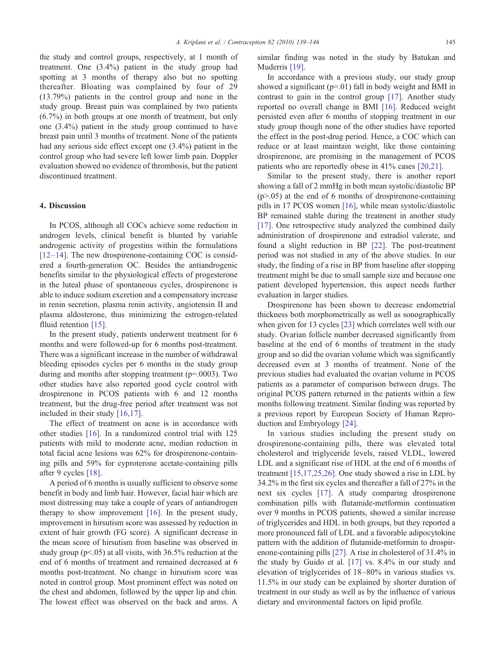the study and control groups, respectively, at 1 month of treatment. One (3.4%) patient in the study group had spotting at 3 months of therapy also but no spotting thereafter. Bloating was complained by four of 29 (13.79%) patients in the control group and none in the study group. Breast pain was complained by two patients (6.7%) in both groups at one month of treatment, but only one (3.4%) patient in the study group continued to have breast pain until 3 months of treatment. None of the patients had any serious side effect except one (3.4%) patient in the control group who had severe left lower limb pain. Doppler evaluation showed no evidence of thrombosis, but the patient discontinued treatment.

# 4. Discussion

In PCOS, although all COCs achieve some reduction in androgen levels, clinical benefit is blunted by variable androgenic activity of progestins within the formulations  $[12–14]$  $[12–14]$ . The new drospirenone-containing COC is considered a fourth-generation OC. Besides the antiandrogenic benefits similar to the physiological effects of progesterone in the luteal phase of spontaneous cycles, drospirenone is able to induce sodium excretion and a compensatory increase in renin secretion, plasma renin activity, angiotensin II and plasma aldosterone, thus minimizing the estrogen-related flluid retention [\[15\].](#page-7-0)

In the present study, patients underwent treatment for 6 months and were followed-up for 6 months post-treatment. There was a significant increase in the number of withdrawal bleeding episodes cycles per 6 months in the study group during and months after stopping treatment (p=.0003). Two other studies have also reported good cycle control with drospirenone in PCOS patients with 6 and 12 months treatment, but the drug-free period after treatment was not included in their study [\[16,17\].](#page-7-0)

The effect of treatment on acne is in accordance with other studies [\[16\]](#page-7-0). In a randomized control trial with 125 patients with mild to moderate acne, median reduction in total facial acne lesions was 62% for drospirenone-containing pills and 59% for cyproterone acetate-containing pills after 9 cycles [\[18\].](#page-7-0)

A period of 6 months is usually sufficient to observe some benefit in body and limb hair. However, facial hair which are most distressing may take a couple of years of antiandrogen therapy to show improvement [\[16\]](#page-7-0). In the present study, improvement in hirsutism score was assessed by reduction in extent of hair growth (FG score). A significant decrease in the mean score of hirsutism from baseline was observed in study group ( $p<0.05$ ) at all visits, with 36.5% reduction at the end of 6 months of treatment and remained decreased at 6 months post-treatment. No change in hirsutism score was noted in control group. Most prominent effect was noted on the chest and abdomen, followed by the upper lip and chin. The lowest effect was observed on the back and arms. A

similar finding was noted in the study by Batukan and Muderris [\[19\]](#page-7-0).

In accordance with a previous study, our study group showed a significant (p=.01) fall in body weight and BMI in contrast to gain in the control group [\[17\].](#page-7-0) Another study reported no overall change in BMI [\[16\]](#page-7-0). Reduced weight persisted even after 6 months of stopping treatment in our study group though none of the other studies have reported the effect in the post-drug period. Hence, a COC which can reduce or at least maintain weight, like those containing drospirenone, are promising in the management of PCOS patients who are reportedly obese in 41% cases [\[20,21\]](#page-7-0).

Similar to the present study, there is another report showing a fall of 2 mmHg in both mean systolic/diastolic BP  $(p>0.05)$  at the end of 6 months of drospirenone-containing pills in 17 PCOS women [\[16\],](#page-7-0) while mean systolic/diastolic BP remained stable during the treatment in another study [\[17\]](#page-7-0). One retrospective study analyzed the combined daily administration of drospirenone and estradiol valerate, and found a slight reduction in BP [\[22\].](#page-7-0) The post-treatment period was not studied in any of the above studies. In our study, the finding of a rise in BP from baseline after stopping treatment might be due to small sample size and because one patient developed hypertension, this aspect needs further evaluation in larger studies.

Drospirenone has been shown to decrease endometrial thickness both morphometrically as well as sonographically when given for 13 cycles [\[23\]](#page-7-0) which correlates well with our study. Ovarian follicle number decreased significantly from baseline at the end of 6 months of treatment in the study group and so did the ovarian volume which was significantly decreased even at 3 months of treatment. None of the previous studies had evaluated the ovarian volume in PCOS patients as a parameter of comparison between drugs. The original PCOS pattern returned in the patients within a few months following treatment. Similar finding was reported by a previous report by European Society of Human Reproduction and Embryology [\[24\].](#page-7-0)

In various studies including the present study on drospirenone-containing pills, there was elevated total cholesterol and triglyceride levels, raised VLDL, lowered LDL and a significant rise of HDL at the end of 6 months of treatment [\[15,17,25,26\]](#page-7-0). One study showed a rise in LDL by 34.2% in the first six cycles and thereafter a fall of 27% in the next six cycles [\[17\]](#page-7-0). A study comparing drospirenone combination pills with flutamide-metformin continuation over 9 months in PCOS patients, showed a similar increase of triglycerides and HDL in both groups, but they reported a more pronounced fall of LDL and a favorable adipocytokine pattern with the addition of flutamide-metformin to drospirenone-containing pills [\[27\].](#page-7-0) A rise in cholesterol of 31.4% in the study by Guido et al. [\[17\]](#page-7-0) vs. 8.4% in our study and elevation of triglycerides of 18–80% in various studies vs. 11.5% in our study can be explained by shorter duration of treatment in our study as well as by the influence of various dietary and environmental factors on lipid profile.